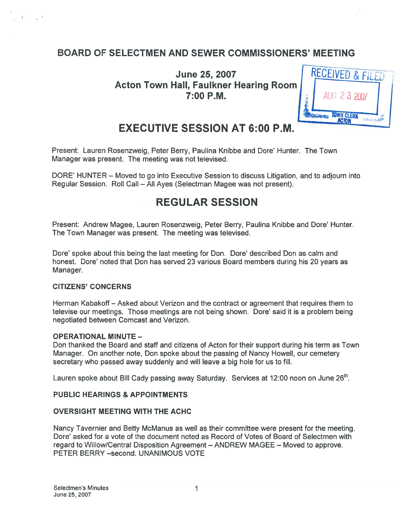## BOARD OF SELECTMEN AND SEWER COMMISSIONERS' MEETING

**June 25, 2007** Acton Town Hall, Faulkner Hearing Room  $7:00$  P.M.



# EXECUTIVE SESSION AT 6:00 P.M.

Present: Lauren Rosenzweig, Peter Berry, Paulina Knibbe and Dore' Hunter. The Town Manager was present. The meeting was not televised.

DORE' HUNTER — Moved to go into Executive Session to discuss Litigation, and to adjourn into Regular Session. Roll Call — All Ayes (Selectman Magee was not present).

## REGULAR SESSION

Present: Andrew Magee, Lauren Rosenzweig, Peter Berry, Paulina Knibbe and Dore' Hunter. The Town Manager was present. The meeting was televised.

Dore' spoke about this being the last meeting for Don. Dore' described Don as calm and honest. Dore' noted that Don has served 23 various Board members during his 20 years as Manager.

#### CITIZENS' CONCERNS

Herman Kabakoff — Asked about Verizon and the contract or agreemen<sup>t</sup> that requires them to televise our meetings. Those meetings are not being shown. Dore' said it is a problem being negotiated between Comcast and Verizon.

#### OPERATIONAL MINUTE —

Don thanked the Boatd and staff and citizens of Acton for their suppor<sup>t</sup> during his term as Town Manager. On another note, Don spoke about the passing of Nancy Howell, out cemetery secretary who passed away suddenly and will leave <sup>a</sup> big hole for us to fill.

Lauren spoke about Bill Cady passing away Saturday. Services at 12:00 noon on June  $26<sup>th</sup>$ .

#### PUBLIC HEARINGS & APPOINTMENTS

#### OVERSIGHT MEETING WITH THE ACHC

Nancy Tavernier and Betty McManus as well as their committee were presen<sup>t</sup> for the meeting. Dore' asked for <sup>a</sup> vote of the document noted as Record of Votes of Board of Selectmen with regard to Willow/Central Disposition Agreement — ANDREW MAGEE — Moved to approve. PETER BERRY —second. UNANIMOUS VOTE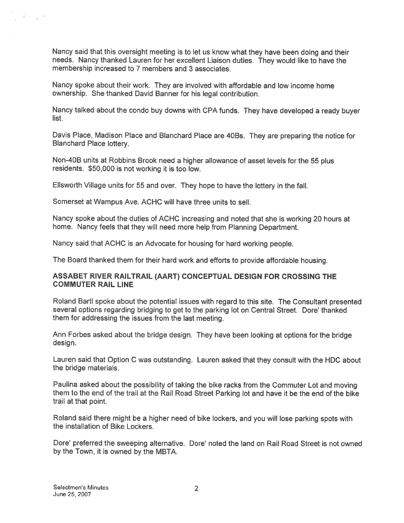Nancy said that this oversight meeting is to let us know what they have been doing and their needs. Nancy thanked Lauren for her excellent Liaison duties. They would like to have the membership increased to 7 members and 3 associates.

Nancy spoke about their work. They are involved with affordable and low income home ownership. She thanked David Banner for his legal contribution.

Nancy talked about the condo buy downs with CPA funds. They have developed <sup>a</sup> ready buyer list.

Davis Place, Madison Place and Blanchard Place are 4OBs. They are preparing the notice for Blanchard Place lottery.

Non-40B units at Robbins Brook need <sup>a</sup> higher allowance of asset levels for the <sup>55</sup> <sup>p</sup>lus residents. \$50,000 is not working it is too low.

Ellsworth Village units for <sup>55</sup> and over. They hope to have the lottery in the fall.

Somerset at Wampus Ave. ACHC will have three units to sell.

Nancy spoke about the duties of ACHC increasing and noted that she is working 20 hours at home. Nancy feels that they will need more help from Planning Department.

Nancy said that ACHC is an Advocate for housing for hard working people.

The Board thanked them for their hard work and efforts to provide affordable housing.

#### ASSABET RIVER RAILTRAIL (AART) CONCEPTUAL DESIGN FOR CROSSING THE COMMUTER RAIL LINE

Roland Bartl spoke about the potential issues with regar<sup>d</sup> to this site. The Consultant presented several options regarding bridging to ge<sup>t</sup> to the parking lot on Central Street. Dore' thanked them for addressing the issues from the last meeting.

Ann Forbes asked about the bridge design. They have been looking at options for the bridge design.

Lauren said that Option C was outstanding. Lauren asked that they consult with the HDC about the bridge materials.

Paulina asked about the possibility of taking the bike racks from the Commuter Lot and moving them to the end of the trail at the Rail Road Street Parking lot and have it be the end of the bike trail at that point.

Roland said there might be <sup>a</sup> higher need of bike lockers, and you will lose parking spots with the installation of Bike Lockers.

Dore' preferred the sweeping alternative. Dore' noted the land on Rail Road Street is not owned by the Town, it is owned by the MBTA.

 $\mathcal{R} = \mathcal{R} = \mathcal{R}$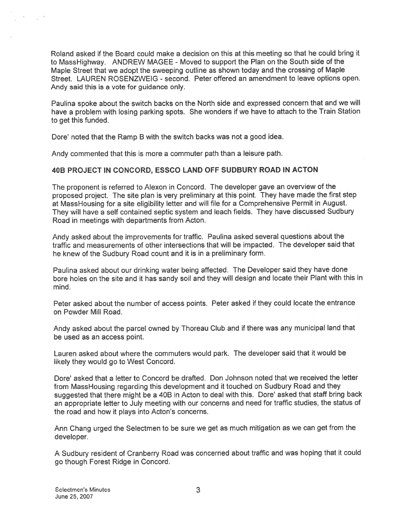Roland asked if the Board could make <sup>a</sup> decision on this at this meeting so that he could bring it to MassHighway. ANDREW MAGEE -Moved to suppor<sup>t</sup> the Plan on the South side of the Maple Street that we adopt the sweeping outline as shown today and the crossing of Maple Street. LAUREN ROSENZWEIG - second. Peter offered an amendment to leave options open. Andy said this is <sup>a</sup> vote for guidance only.

Paulina spoke about the switch backs on the North side and expresse<sup>d</sup> concern that and we will have <sup>a</sup> problem with losing parking spots. She wonders if we have to attach to the Train Station to ge<sup>t</sup> this funded.

Dore' noted that the Ramp B with the switch backs was not a good idea.

Andy commented that this is more <sup>a</sup> commuter path than <sup>a</sup> leisure path.

#### 408 PROJECT IN CONCORD, ESSCO LAND OFF SUDBURY ROAD IN ACTON

The proponen<sup>t</sup> is referred to Alexon in Concord. The developer gave an overview of the propose<sup>d</sup> project. The site <sup>p</sup>lan is very preliminary at this point. They have made the first step at MassHousing for <sup>a</sup> site eligibility letter and will file for <sup>a</sup> Comprehensive Permit in August. They will have <sup>a</sup> self contained septic system and leach fields. They have discussed Sudbury Road in meetings with departments from Acton.

Andy asked about the improvements for traffic. Paulina asked several questions about the traffic and measurements of other intersections that will be impacted. The developer said that he knew of the Sudbury Road count and it is in <sup>a</sup> preliminary form.

Paulina asked about our drinking water being affected. The Developer said they have done bore holes on the site and it has sandy soil and they will design and locate their Plant with this in mind.

Peter asked about the number of access points. Peter asked if they could locate the entrance on Powder Mill Road.

Andy asked about the parce<sup>l</sup> owned by Thoreau Club and if there was any municipal land that be used as an access point.

Lauren asked about where the commuters would park. The developer said that it would be likely they would go to West Concord.

Dore' asked that <sup>a</sup> letter to Concord be drafted. Don Johnson noted that we received the letter from MassHousing regarding this development and it touched on Sudbury Road and they suggested that there might be <sup>a</sup> 40B in Acton to deal with this. Dore' asked that staff bring back an appropriate letter to July meeting with our concerns and need for traffic studies, the status of the road and how it plays into Acton's concerns.

Ann Chang urge<sup>d</sup> the Selectmen to be sure we ge<sup>t</sup> as much mitigation as we can ge<sup>t</sup> from the developer.

<sup>A</sup> Sudbury resident of Cranberry Road was concerned about traffic and was hoping that it could go though Forest Ridge in Concord.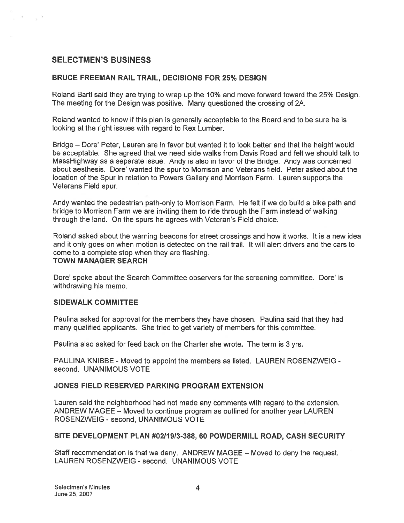#### SELECTMEN'S BUSINESS

#### BRUCE FREEMAN RAIL TRAIL, DECISIONS FOR 25% DESIGN

Roland Bartl said they are trying to wrap up the 10% and move forward toward the 25% Design. The meeting for the Design was positive. Many questioned the crossing of 2A.

Roland wanted to know if this plan is generally acceptable to the Board and to be sure he is looking at the right issues with regard to Rex Lumber.

Bridge — Dore' Peter, Lauren are in favor but wanted it to look better and that the height would be acceptable. She agreed that we need side walks from Davis Road and felt we should talk to MassHighway as <sup>a</sup> separate issue. Andy is also in favor of the Bridge. Andy was concerned about aesthesis. Dore' wanted the spur to Morrison and Veterans field. Peter asked about the location of the Spur in relation to Powers Gallery and Morrison Farm. Lauren supports the Veterans Field spur.

Andy wanted the pedestrian path-only to Morrison Farm. He felt if we do build <sup>a</sup> bike path and bridge to Morrison Farm we are inviting them to ride through the Farm instead of walking through the land. On the spurs he agrees with Veteran's Field choice.

Roland asked about the warning beacons for street crossings and how it works. It is <sup>a</sup> new idea and it only goes on when motion is detected on the rail trail. It will alert drivers and the cars to come to <sup>a</sup> complete stop when they are flashing. TOWN MANAGER SEARCH

Dore' spoke about the Search Committee observers for the screening committee. Dore' is withdrawing his memo.

#### SIDEWALK COMMITTEE

Paulina asked for approval for the members they have chosen. Paulina said that they had many qualified applicants. She tried to ge<sup>t</sup> variety of members for this committee.

Paulina also asked for feed back on the Charter she wrote. The term is 3 yrs.

PAULINA KNIBBE - Moved to appoint the members as listed. LAUREN ROSENZWEIG second. UNANIMOUS VOTE

#### JONES FIELD RESERVED PARKING PROGRAM EXTENSION

Lauren said the neighborhood had not made any comments with regard to the extension. ANDREW MAGEE — Moved to continue program as outlined for another year LAUREN ROSENZWEIG - second, UNANIMOUS VOTE

#### SITE DEVELOPMENT PLAN #0211913-388, 60 POWDERMILL ROAD, CASH SECURITY

Staff recommendation is that we deny. ANDREW MAGEE — Moved to deny the request. LAUREN ROSENZWEIG - second. UNANIMOUS VOTE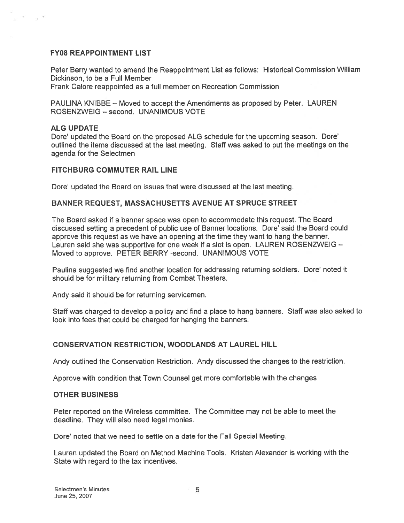#### FY08 REAPPOINTMENT LIST

Peter Berry wanted to amend the Reappointment List as follows: Historical Commission William Dickinson, to be <sup>a</sup> Full Member

Frank Calore reappointed as <sup>a</sup> full member on Recreation Commission

PAULINA KNIBBE — Moved to accep<sup>t</sup> the Amendments as proposed by Peter. LAUREN ROSENZWEIG — second. UNANIMOUS VOTE

#### ALG UPDATE

 $\infty$  and  $\infty$ 

Dore' updated the Board on the proposed ALG schedule for the upcoming season. Dote' outlined the items discussed at the last meeting. Staff was asked to pu<sup>t</sup> the meetings on the agenda for the Selectmen

#### FITCHBURG COMMUTER RAIL LINE

Dore' updated the Board on issues that were discussed at the last meeting.

#### BANNER REQUEST, MASSACHUSETTS AVENUE AT SPRUCE STREET

The Board asked if <sup>a</sup> banner space was open to accommodate this request. The Board discussed setting <sup>a</sup> precedent of public use of Banner locations. Dore' said the Board could approve this reques<sup>t</sup> as we have an opening at the time they want to hang the banner. Lauren said she was supportive for one week if <sup>a</sup> slot is open. LAUREN ROSENZWEIG — Moved to approve. PETER BERRY -second. UNANIMOUS VOTE

Paulina suggested we find another location for addressing returning soldiers. Dote' noted it should be for military returning from Combat Theaters.

Andy said it should be for returning servicemen.

Staff was charged to develop <sup>a</sup> policy and find <sup>a</sup> <sup>p</sup>lace to hang banners. Staff was also asked to look into fees that could be charged for hanging the banners.

#### CONSERVATION RESTRICTION, WOODLANDS AT LAUREL HILL

Andy outlined the Conservation Restriction. Andy discussed the changes to the restriction.

Approve with condition that Town Counsel ge<sup>t</sup> more comfortable with the changes

#### OTHER BUSINESS

Peter reported on the Wireless committee. The Committee may not be able to meet the deadline. They will also need legal monies.

Dore' noted that we need to settle on <sup>a</sup> date for the Fall Special Meeting.

Lauren updated the Board on Method Machine Tools. Kristen Alexander is working with the State with regard to the tax incentives.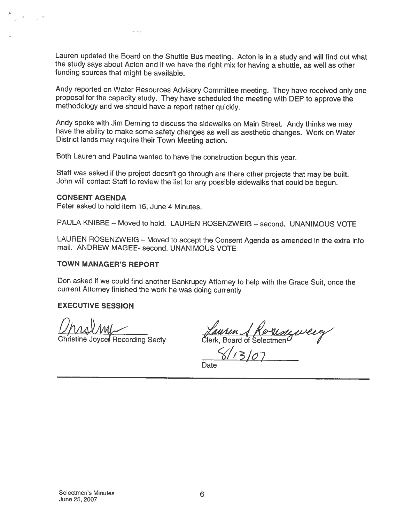Lauren updated the Board on the Shuttle Bus meeting. Acton is in <sup>a</sup> study and will find out what the study says about Acton and if we have the right mix for having <sup>a</sup> shuttle, as well as other funding sources that might be available.

Andy reported on Water Resources Advisory Committee meeting. They have received only one proposal for the capacity study. They have scheduled the meeting with DEP to approve the methodology and we should have <sup>a</sup> report rather quickly.

Andy spoke with Jim Deming to discuss the sidewalks on Main Street. Andy thinks we may have the ability to make some safety changes as well as aesthetic changes. Work on Water District lands may require their Town Meeting

Both Lauren and Paulina wanted to have the construction begun this year.

Staff was asked it the project doesn't go through are there other projects that may be built. John will contact Staff to review the list for any possible sidewalks that could be begun.

#### CONSENT AGENDA

Peter asked to hold item 16, June 4 Minutes.

PAULA KNIBBE — Moved to hold. LAUREN ROSENZWEIG — second. UNANIMOUS VOTE

LAUREN ROSENZWEIG — Moved to accept the Consent Agenda as amended in the extra info mail. ANDREW MAGEE- second. UNANIMOUS VOTE

#### TOWN MANAGER'S REPORT

Don asked it we could find another Bankrupcy Attorney to help with the Grace Suit, once the current Attorney finished the work he was doing currently

#### EXECUTIVE SESSION

OMA4AMfr

 $UNAVMM \n $Haurun. A Koulombu$$ </u>

 $8/13/07$ 

**Date**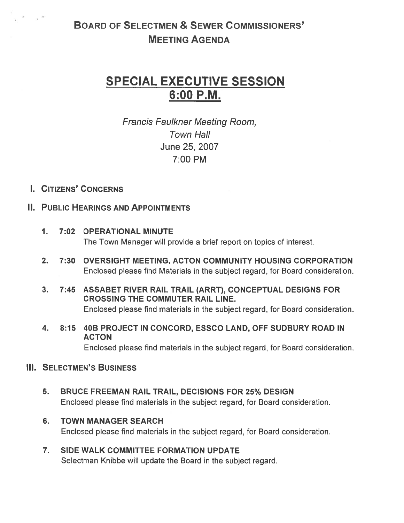# BOARD OF SELECTMEN & SEWER COMMISSIONERS' MEETING AGENDA

# SPECIAL EXECUTIVE SESSION 6:00 P.M.

Francis Faulkner Meeting Room, Town Hall June 25, 2007 7:00 PM

## I. CITIZENS' CONCERNS

 $\epsilon = -\frac{1}{2}$ 

### II. PUBLIC HEARINGS AND APPOINTMENTS

- 1. 7:02 OPERATIONAL MINUTE The Town Manager will provide <sup>a</sup> brief repor<sup>t</sup> on topics of interest.
- 2. 7:30 OVERSIGHT MEETING, ACTON COMMUNITY HOUSING CORPORATION Enclosed please find Materials in the subject regard, for Board consideration.
- 3. 7:45 ASSABET RIVER RAIL TRAIL (ARRT), CONCEPTUAL DESIGNS FOR CROSSING THE COMMUTER RAIL LINE. Enclosed please find materials in the subject regard, for Board consideration.
- 4. 8:15 40B PROJECT IN CONCORD, ESSCO LAND, OFF SUDBURY ROAD IN ACTON

Enclosed please find materials in the subject regard, for Board consideration.

## **III. SELECTMEN'S BUSINESS**

- 5. BRUCE FREEMAN RAIL TRAIL, DECISIONS FOR 25% DESIGN Enclosed please find materials in the subject regard, for Board consideration.
- 6. TOWN MANAGER SEARCH Enclosed please find materials in the subject regard, for Board consideration.
- 7. SIDE WALK COMMITTEE FORMATION UPDATE Selectman Knibbe will update the Board in the subject regard.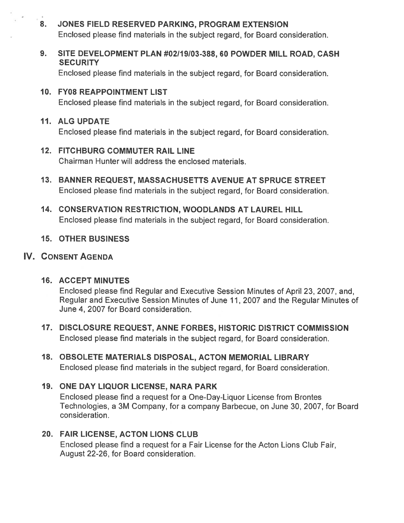## 8. JONES FIELD RESERVED PARKING, PROGRAM EXTENSION Enclosed please find materials in the subject regard, for Board consideration.

9. SITE DEVELOPMENT PLAN #02119103-388, 60 POWDER MILL ROAD, CASH **SECURITY** 

Enclosed please find materials in the subject regard, for Board consideration.

10. FY08 REAPPOINTMENT LIST Enclosed please find materials in the subject regard, for Board consideration.

#### 11. ALG UPDATE

Enclosed please find materials in the subject regard, for Board consideration.

### 12. FITCHBURG COMMUTER RAIL LINE

Chairman Hunter will address the enclosed materials.

- 13. BANNER REQUEST, MASSACHUSETTS AVENUE AT SPRUCE STREET Enclosed please find materials in the subject regard, for Board consideration.
- 14. CONSERVATION RESTRICTION, WOODLANDS AT LAUREL HILL Enclosed please find materials in the subject regard, for Board consideration.

#### 15. OTHER BUSINESS

## IV. CONSENT AGENDA

#### 16. ACCEPT MINUTES

Enclosed please find Regular and Executive Session Minutes of April 23, 2007, and, Regular and Executive Session Minutes of June 11, 2007 and the Regular Minutes of June 4, 2007 for Board consideration.

- 17. DISCLOSURE REQUEST, ANNE FORBES, HISTORIC DISTRICT COMMISSION Enclosed please find materials in the subject regard, for Board consideration.
- 18. OBSOLETE MATERIALS DISPOSAL, ACTON MEMORIAL LIBRARY Enclosed please find materials in the subject regard, for Board consideration.

## 19. ONE DAY LIQUOR LICENSE, NARA PARK

Enclosed please find <sup>a</sup> reques<sup>t</sup> for <sup>a</sup> One-Day-Liquor License from Brontes Technologies, <sup>a</sup> 3M Company, for <sup>a</sup> company Barbecue, on June 30, 2007, for Board consideration.

## 20. FAIR LICENSE, ACTON LIONS CLUB

Enclosed please find <sup>a</sup> reques<sup>t</sup> for <sup>a</sup> Fair License for the Acton Lions Club Fair, August 22-26, for Board consideration.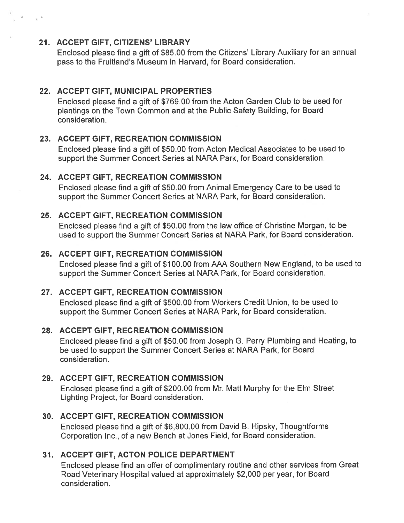#### 21. ACCEPT GIFT, CITIZENS' LIBRARY

Enclosed <sup>p</sup>lease find <sup>a</sup> <sup>g</sup>ift of \$85.00 from the Citizens' Library Auxiliary for an annual pass to the Fruitland's Museum in Harvard, for Board consideration.

## 22. ACCEPT GIFT, MUNICIPAL PROPERTIES

Enclosed please find <sup>a</sup> gift of \$769.00 from the Acton Garden Club to be used for plantings on the Town Common and at the Public Safety Building, for Board consideration.

## 23. ACCEPT GIFT, RECREATION COMMISSION

Enclosed please find <sup>a</sup> gift of \$50.00 from Acton Medical Associates to be used to suppor<sup>t</sup> the Summer Concert Series at NARA Park, for Board consideration.

## 24. ACCEPT GIFT, RECREATION COMMISSION

Enclosed please find <sup>a</sup> gift of \$50.00 from Animal Emergency Care to be used to suppor<sup>t</sup> the Summer Concert Series at NARA Park, for Board consideration.

## 25. ACCEPT GIFT, RECREATION COMMISSION

Enclosed please find <sup>a</sup> gift of \$50.00 from the law office of Christine Morgan, to be used to suppor<sup>t</sup> the Summer Concert Series at NARA Park, for Board consideration.

## 26. ACCEPT GIFT, RECREATION COMMISSION

Enclosed <sup>p</sup>lease find <sup>a</sup> <sup>g</sup>ift of \$1 00.00 from AAA Southern New England, to be used to suppor<sup>t</sup> the Summer Concert Series at NARA Park, for Board consideration.

## 27. ACCEPT GIFT, RECREATION COMMISSION

Enclosed please find <sup>a</sup> gift of \$500.00 from Workers Credit Union, to be used to suppor<sup>t</sup> the Summer Concert Series at NARA Park, for Board consideration.

## 28. ACCEPT GIFT, RECREATION COMMISSION

Enclosed please find <sup>a</sup> gift of \$50.00 from Joseph G. Perry Plumbing and Heating, to be used to suppor<sup>t</sup> the Summer Concert Series at NARA Park, for Board consideration.

## 29. ACCEPT GIFT, RECREATION COMMISSION

Enclosed please find <sup>a</sup> gift of \$200.00 from Mr. Matt Murphy for the Elm Street Lighting Project, for Board consideration.

## 30. ACCEPT GIFT, RECREATION COMMISSION

Enclosed <sup>p</sup>lease find <sup>a</sup> <sup>g</sup>ift of \$6,800.00 from David B. Hipsky, Thoughiforms Corporation Inc., of <sup>a</sup> new Bench at Jones Field, for Board consideration.

## 31. ACCEPT GIFT, ACTON POLICE DEPARTMENT

Enclosed <sup>p</sup>lease find an offer of complimentary routine and other services from Great Road Veterinary Hospital valued at approximately \$2,000 per year, for Board consideration.